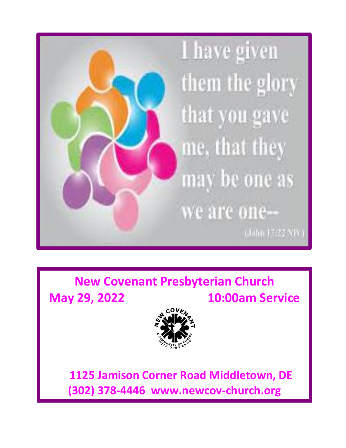

**New Covenant Presbyterian Church May 29, 2022 10:00am Service**



 **1125 Jamison Corner Road Middletown, DE (302) 378-4446 www.newcov-church.org**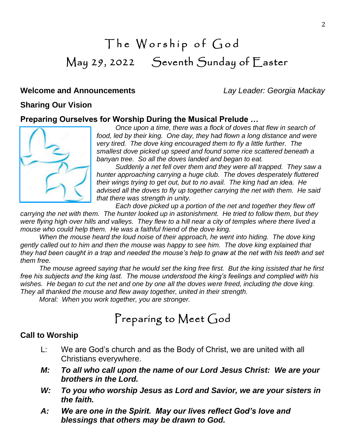# The Worship of God May 29, 2022 Seventh Sunday of Easter

### **Welcome and Announcements** *Lay Leader: Georgia Mackay*

### **Sharing Our Vision**

### **Preparing Ourselves for Worship During the Musical Prelude …**



 *Once upon a time, there was a flock of doves that flew in search of food, led by their king. One day, they had flown a long distance and were very tired. The dove king encouraged them to fly a little further. The smallest dove picked up speed and found some rice scattered beneath a banyan tree. So all the doves landed and began to eat.*

 *Suddenly a net fell over them and they were all trapped. They saw a hunter approaching carrying a huge club. The doves desperately fluttered their wings trying to get out, but to no avail. The king had an idea. He advised all the doves to fly up together carrying the net with them. He said that there was strength in unity.*

 *Each dove picked up a portion of the net and together they flew off* 

*carrying the net with them. The hunter looked up in astonishment. He tried to follow them, but they were flying high over hills and valleys. They flew to a hill near a city of temples where there lived a mouse who could help them. He was a faithful friend of the dove king.*

 *When the mouse heard the loud noise of their approach, he went into hiding. The dove king gently called out to him and then the mouse was happy to see him. The dove king explained that they had been caught in a trap and needed the mouse's help to gnaw at the net with his teeth and set them free.*

 *The mouse agreed saying that he would set the king free first. But the king issisted that he first free his subjects and the king last. The mouse understood the king's feelings and complied with his*  wishes. He began to cut the net and one by one all the doves were freed, including the dove king. *They all thanked the mouse and flew away together, united in their strength.* 

 *Moral: When you work together, you are stronger.*

## Preparing to Meet God

### **Call to Worship**

- L: We are God's church and as the Body of Christ, we are united with all Christians everywhere.
- *M: To all who call upon the name of our Lord Jesus Christ: We are your brothers in the Lord.*
- *W: To you who worship Jesus as Lord and Savior, we are your sisters in the faith.*
- *A: We are one in the Spirit. May our lives reflect God's love and blessings that others may be drawn to God.*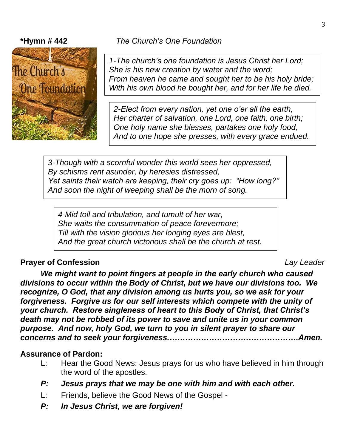

### **\*Hymn # 442** *The Church's One Foundation*

*1-The church's one foundation is Jesus Christ her Lord; She is his new creation by water and the word; From heaven he came and sought her to be his holy bride; With his own blood he bought her, and for her life he died.*

*2-Elect from every nation, yet one o'er all the earth, Her charter of salvation, one Lord, one faith, one birth; One holy name she blesses, partakes one holy food, And to one hope she presses, with every grace endued.*

*3-Though with a scornful wonder this world sees her oppressed, By schisms rent asunder, by heresies distressed, Yet saints their watch are keeping, their cry goes up: "How long?" And soon the night of weeping shall be the morn of song.*

*4-Mid toil and tribulation, and tumult of her war, She waits the consummation of peace forevermore; Till with the vision glorious her longing eyes are blest, And the great church victorious shall be the church at rest.*

### **Prayer of Confession** *Lay Leader*

*We might want to point fingers at people in the early church who caused divisions to occur within the Body of Christ, but we have our divisions too. We recognize, O God, that any division among us hurts you, so we ask for your forgiveness. Forgive us for our self interests which compete with the unity of your church. Restore singleness of heart to this Body of Christ, that Christ's death may not be robbed of its power to save and unite us in your common purpose. And now, holy God, we turn to you in silent prayer to share our concerns and to seek your forgiveness.………………………………………….Amen.*

### **Assurance of Pardon:**

- L: Hear the Good News: Jesus prays for us who have believed in him through the word of the apostles.
- *P: Jesus prays that we may be one with him and with each other.*
- L: Friends, believe the Good News of the Gospel -
- *P: In Jesus Christ, we are forgiven!*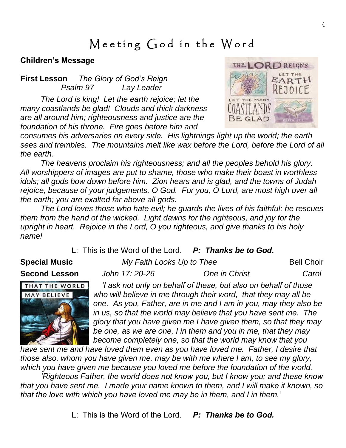## Meeting God in the Word

### **Children's Message**

**First Lesson** *The Glory of God's Reign Psalm 97 Lay Leader*

*The Lord is king! Let the earth rejoice; let the many coastlands be glad! Clouds and thick darkness are all around him; righteousness and justice are the foundation of his throne. Fire goes before him and* 



*consumes his adversaries on every side. His lightnings light up the world; the earth sees and trembles. The mountains melt like wax before the Lord, before the Lord of all the earth.*

*The heavens proclaim his righteousness; and all the peoples behold his glory. All worshippers of images are put to shame, those who make their boast in worthless idols; all gods bow down before him. Zion hears and is glad, and the towns of Judah rejoice, because of your judgements, O God. For you, O Lord, are most high over all the earth; you are exalted far above all gods.*

*The Lord loves those who hate evil; he guards the lives of his faithful; he rescues them from the hand of the wicked. Light dawns for the righteous, and joy for the upright in heart. Rejoice in the Lord, O you righteous, and give thanks to his holy name!*

L: This is the Word of the Lord. *P: Thanks be to God.*

**Special Music My Faith Looks Up to Thee** Bell Choir

THAT THE WORLD MAY BELIEVE

**Second Lesson** *John 17: 20-26 One in Christ Carol*

*'I ask not only on behalf of these, but also on behalf of those who will believe in me through their word, that they may all be one. As you, Father, are in me and I am in you, may they also be in us, so that the world may believe that you have sent me. The glory that you have given me I have given them, so that they may be one, as we are one, I in them and you in me, that they may become completely one, so that the world may know that you* 

*have sent me and have loved them even as you have loved me. Father, I desire that those also, whom you have given me, may be with me where I am, to see my glory, which you have given me because you loved me before the foundation of the world.*

*'Righteous Father, the world does not know you, but I know you; and these know that you have sent me. I made your name known to them, and I will make it known, so that the love with which you have loved me may be in them, and I in them.'*

L: This is the Word of the Lord. *P: Thanks be to God.*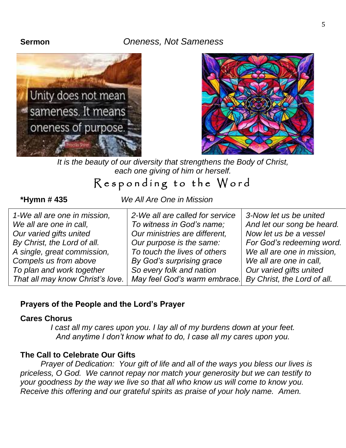### **Sermon** *Oneness, Not Sameness*





*It is the beauty of our diversity that strengthens the Body of Christ, each one giving of him or herself.*

Responding to the Word

**\*Hymn # 435** *We All Are One in Mission*

| 1-We all are one in mission,     | 2-We all are called for service | 3-Now let us be united      |
|----------------------------------|---------------------------------|-----------------------------|
| We all are one in call,          | To witness in God's name;       | And let our song be heard.  |
| Our varied gifts united          | Our ministries are different,   | Now let us be a vessel      |
| By Christ, the Lord of all.      | Our purpose is the same:        | For God's redeeming word.   |
| A single, great commission,      | To touch the lives of others    | We all are one in mission,  |
| Compels us from above            | By God's surprising grace       | We all are one in call,     |
| To plan and work together        | So every folk and nation        | Our varied gifts united     |
| That all may know Christ's love. | May feel God's warm embrace.    | By Christ, the Lord of all. |

### **Prayers of the People and the Lord's Prayer**

### **Cares Chorus**

*I cast all my cares upon you. I lay all of my burdens down at your feet. And anytime I don't know what to do, I case all my cares upon you.*

### **The Call to Celebrate Our Gifts**

*Prayer of Dedication: Your gift of life and all of the ways you bless our lives is priceless, O God. We cannot repay nor match your generosity but we can testify to your goodness by the way we live so that all who know us will come to know you. Receive this offering and our grateful spirits as praise of your holy name. Amen.*